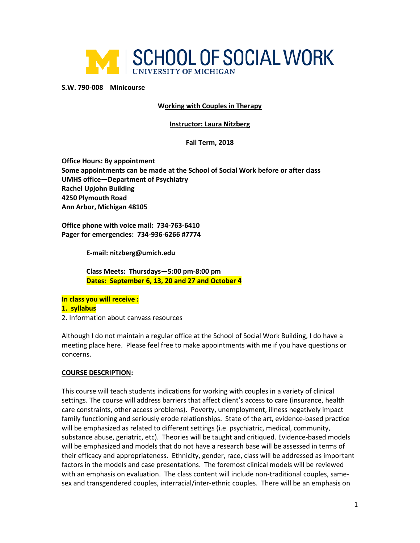

**S.W. 790-008 Minicourse** 

**Working with Couples in Therapy**

### **Instructor: Laura Nitzberg**

### **Fall Term, 2018**

**Office Hours: By appointment Some appointments can be made at the School of Social Work before or after class UMHS office—Department of Psychiatry Rachel Upjohn Building 4250 Plymouth Road Ann Arbor, Michigan 48105**

**Office phone with voice mail: 734-763-6410 Pager for emergencies: 734-936-6266 #7774**

**E-mail: nitzberg@umich.edu**

**Class Meets: Thursdays—5:00 pm-8:00 pm Dates: September 6, 13, 20 and 27 and October 4**

**In class you will receive : 1. syllabus**

2. Information about canvass resources

Although I do not maintain a regular office at the School of Social Work Building, I do have a meeting place here. Please feel free to make appointments with me if you have questions or concerns.

#### **COURSE DESCRIPTION:**

This course will teach students indications for working with couples in a variety of clinical settings. The course will address barriers that affect client's access to care (insurance, health care constraints, other access problems). Poverty, unemployment, illness negatively impact family functioning and seriously erode relationships. State of the art, evidence-based practice will be emphasized as related to different settings (i.e. psychiatric, medical, community, substance abuse, geriatric, etc). Theories will be taught and critiqued. Evidence-based models will be emphasized and models that do not have a research base will be assessed in terms of their efficacy and appropriateness. Ethnicity, gender, race, class will be addressed as important factors in the models and case presentations. The foremost clinical models will be reviewed with an emphasis on evaluation. The class content will include non-traditional couples, samesex and transgendered couples, interracial/inter-ethnic couples. There will be an emphasis on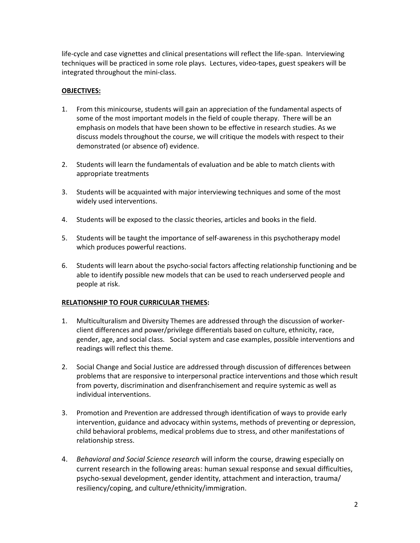life-cycle and case vignettes and clinical presentations will reflect the life-span. Interviewing techniques will be practiced in some role plays. Lectures, video-tapes, guest speakers will be integrated throughout the mini-class.

# **OBJECTIVES:**

- 1. From this minicourse, students will gain an appreciation of the fundamental aspects of some of the most important models in the field of couple therapy. There will be an emphasis on models that have been shown to be effective in research studies. As we discuss models throughout the course, we will critique the models with respect to their demonstrated (or absence of) evidence.
- 2. Students will learn the fundamentals of evaluation and be able to match clients with appropriate treatments
- 3. Students will be acquainted with major interviewing techniques and some of the most widely used interventions.
- 4. Students will be exposed to the classic theories, articles and books in the field.
- 5. Students will be taught the importance of self-awareness in this psychotherapy model which produces powerful reactions.
- 6. Students will learn about the psycho-social factors affecting relationship functioning and be able to identify possible new models that can be used to reach underserved people and people at risk.

# **RELATIONSHIP TO FOUR CURRICULAR THEMES:**

- 1. Multiculturalism and Diversity Themes are addressed through the discussion of workerclient differences and power/privilege differentials based on culture, ethnicity, race, gender, age, and social class. Social system and case examples, possible interventions and readings will reflect this theme.
- 2. Social Change and Social Justice are addressed through discussion of differences between problems that are responsive to interpersonal practice interventions and those which result from poverty, discrimination and disenfranchisement and require systemic as well as individual interventions.
- 3. Promotion and Prevention are addressed through identification of ways to provide early intervention, guidance and advocacy within systems, methods of preventing or depression, child behavioral problems, medical problems due to stress, and other manifestations of relationship stress.
- 4. *Behavioral and Social Science research* will inform the course, drawing especially on current research in the following areas: human sexual response and sexual difficulties, psycho-sexual development, gender identity, attachment and interaction, trauma/ resiliency/coping, and culture/ethnicity/immigration.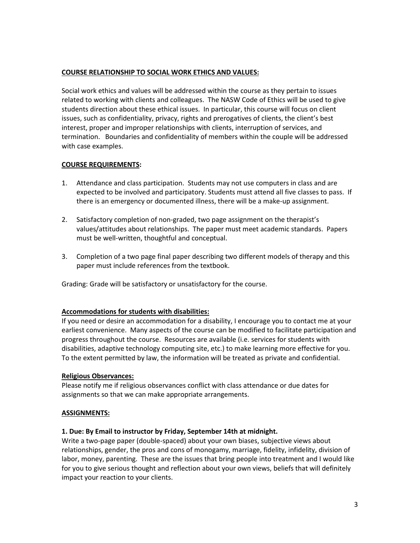# **COURSE RELATIONSHIP TO SOCIAL WORK ETHICS AND VALUES:**

Social work ethics and values will be addressed within the course as they pertain to issues related to working with clients and colleagues. The NASW Code of Ethics will be used to give students direction about these ethical issues. In particular, this course will focus on client issues, such as confidentiality, privacy, rights and prerogatives of clients, the client's best interest, proper and improper relationships with clients, interruption of services, and termination. Boundaries and confidentiality of members within the couple will be addressed with case examples.

# **COURSE REQUIREMENTS:**

- 1. Attendance and class participation. Students may not use computers in class and are expected to be involved and participatory. Students must attend all five classes to pass. If there is an emergency or documented illness, there will be a make-up assignment.
- 2. Satisfactory completion of non-graded, two page assignment on the therapist's values/attitudes about relationships. The paper must meet academic standards. Papers must be well-written, thoughtful and conceptual.
- 3. Completion of a two page final paper describing two different models of therapy and this paper must include references from the textbook.

Grading: Grade will be satisfactory or unsatisfactory for the course.

# **Accommodations for students with disabilities:**

If you need or desire an accommodation for a disability, I encourage you to contact me at your earliest convenience. Many aspects of the course can be modified to facilitate participation and progress throughout the course. Resources are available (i.e. services for students with disabilities, adaptive technology computing site, etc.) to make learning more effective for you. To the extent permitted by law, the information will be treated as private and confidential.

# **Religious Observances:**

Please notify me if religious observances conflict with class attendance or due dates for assignments so that we can make appropriate arrangements.

# **ASSIGNMENTS:**

# **1. Due: By Email to instructor by Friday, September 14th at midnight.**

Write a two-page paper (double-spaced) about your own biases, subjective views about relationships, gender, the pros and cons of monogamy, marriage, fidelity, infidelity, division of labor, money, parenting. These are the issues that bring people into treatment and I would like for you to give serious thought and reflection about your own views, beliefs that will definitely impact your reaction to your clients.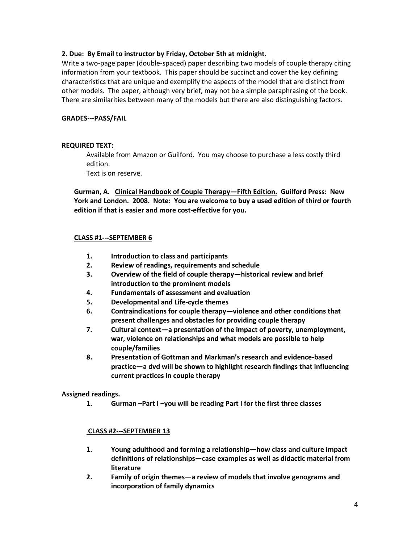# **2. Due: By Email to instructor by Friday, October 5th at midnight.**

Write a two-page paper (double-spaced) paper describing two models of couple therapy citing information from your textbook. This paper should be succinct and cover the key defining characteristics that are unique and exemplify the aspects of the model that are distinct from other models. The paper, although very brief, may not be a simple paraphrasing of the book. There are similarities between many of the models but there are also distinguishing factors.

### **GRADES---PASS/FAIL**

### **REQUIRED TEXT:**

Available from Amazon or Guilford. You may choose to purchase a less costly third edition.

Text is on reserve.

**Gurman, A. Clinical Handbook of Couple Therapy—Fifth Edition. Guilford Press: New York and London. 2008. Note: You are welcome to buy a used edition of third or fourth edition if that is easier and more cost-effective for you.**

### **CLASS #1---SEPTEMBER 6**

- **1. Introduction to class and participants**
- **2. Review of readings, requirements and schedule**
- **3. Overview of the field of couple therapy—historical review and brief introduction to the prominent models**
- **4. Fundamentals of assessment and evaluation**
- **5. Developmental and Life-cycle themes**
- **6. Contraindications for couple therapy—violence and other conditions that present challenges and obstacles for providing couple therapy**
- **7. Cultural context—a presentation of the impact of poverty, unemployment, war, violence on relationships and what models are possible to help couple/families**
- **8. Presentation of Gottman and Markman's research and evidence-based practice—a dvd will be shown to highlight research findings that influencing current practices in couple therapy**

#### **Assigned readings.**

**1. Gurman –Part I –you will be reading Part I for the first three classes** 

# **CLASS #2---SEPTEMBER 13**

- **1. Young adulthood and forming a relationship—how class and culture impact definitions of relationships—case examples as well as didactic material from literature**
- **2. Family of origin themes—a review of models that involve genograms and incorporation of family dynamics**